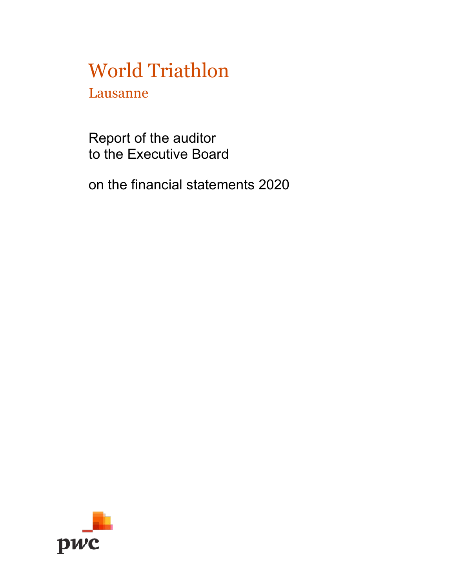Lausanne

Report of the auditor to the Executive Board

on the financial statements 2020

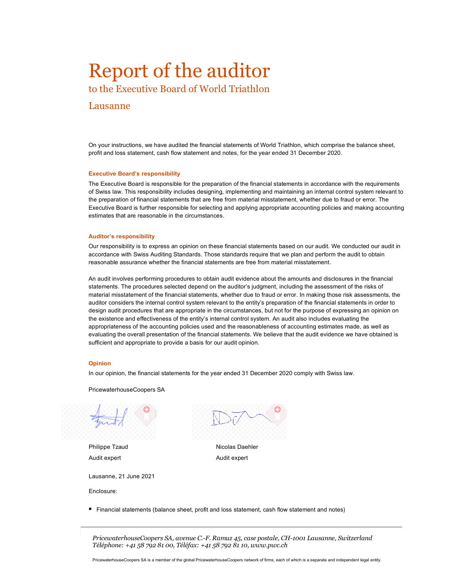## Report of the auditor

to the Executive Board of World Triathlon

#### Lausanne

On your instructions, we have audited the financial statements of World Triathlon, which comprise the balance sheet, profit and loss statement, cash flow statement and notes, for the year ended 31 December 2020.

#### **Executive Board's responsibility**

The Executive Board is responsible for the preparation of the financial statements in accordance with the requirements of Swiss law. This responsibility includes designing, implementing and maintaining an internal control system relevant to the preparation of financial statements that are free from material misstatement, whether due to fraud or error. The Executive Board is further responsible for selecting and applying appropriate accounting policies and making accounting estimates that are reasonable in the circumstances.

#### **Auditor's responsibility**

Our responsibility is to express an opinion on these financial statements based on our audit. We conducted our audit in accordance with Swiss Auditing Standards. Those standards require that we plan and perform the audit to obtain reasonable assurance whether the financial statements are free from material misstatement.

An audit involves performing procedures to obtain audit evidence about the amounts and disclosures in the financial statements. The procedures selected depend on the auditor's judgment, including the assessment of the risks of material misstatement of the financial statements, whether due to fraud or error. In making those risk assessments, the auditor considers the internal control system relevant to the entity's preparation of the financial statements in order to design audit procedures that are appropriate in the circumstances, but not for the purpose of expressing an opinion on the existence and effectiveness of the entity's internal control system. An audit also includes evaluating the appropriateness of the accounting policies used and the reasonableness of accounting estimates made, as well as evaluating the overall presentation of the financial statements. We believe that the audit evidence we have obtained is sufficient and appropriate to provide a basis for our audit opinion.

#### **Opinion**

In our opinion, the financial statements for the year ended 31 December 2020 comply with Swiss law.

PricewaterhouseCoopers SA

Philippe Tzaud Audit expert

Lausanne, 21 June 2021

Enclosure:

Nicolas Daehler Audit expert

• Financial statements (balance sheet, profit and loss statement, cash flow statement and notes)

*PricewaterhouseCoopers SA, avenue C.-F. Ramuz 45, case postale, CH-1001 Lausanne, Switzerland Téléphone: +41 58 792 81 00, Téléfax: +41 58 792 81 10, www.pwc.ch*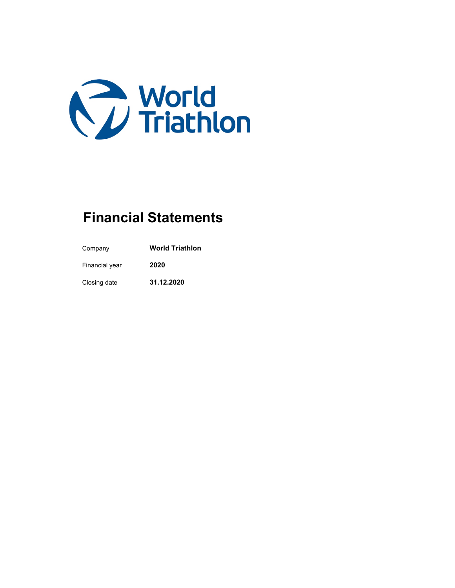

### **Financial Statements**

Company **World Triathlon** Financial year **2020** Closing date **31.12.2020**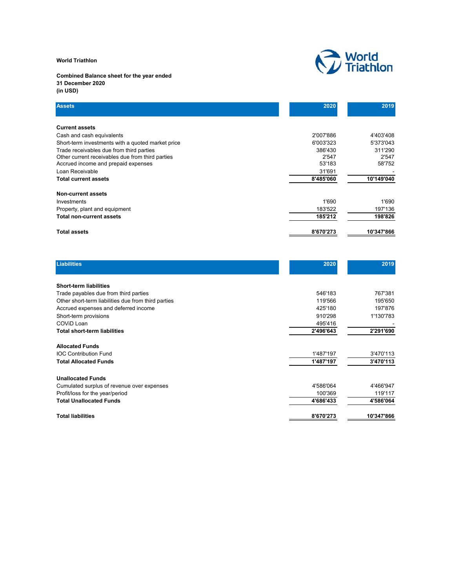**Combined Balance sheet for the year ended 31 December 2020 (in USD)**



| <b>Assets</b>                                     | 2020      | 2019       |
|---------------------------------------------------|-----------|------------|
| <b>Current assets</b>                             |           |            |
| Cash and cash equivalents                         | 2'007'886 | 4'403'408  |
| Short-term investments with a quoted market price | 6'003'323 | 5'373'043  |
| Trade receivables due from third parties          | 386'430   | 311'290    |
| Other current receivables due from third parties  | 2'547     | 2'547      |
| Accrued income and prepaid expenses               | 53'183    | 58'752     |
| Loan Receivable                                   | 31'691    |            |
| <b>Total current assets</b>                       | 8'485'060 | 10'149'040 |
| <b>Non-current assets</b>                         |           |            |
| Investments                                       | 1'690     | 1'690      |
| Property, plant and equipment                     | 183'522   | 197'136    |
| <b>Total non-current assets</b>                   | 185'212   | 198'826    |
| <b>Total assets</b>                               | 8'670'273 | 10'347'866 |

| <b>Liabilities</b>                                  | 2020      | 2019       |
|-----------------------------------------------------|-----------|------------|
| <b>Short-term liabilities</b>                       |           |            |
| Trade payables due from third parties               | 546'183   | 767'381    |
| Other short-term liabilities due from third parties | 119'566   | 195'650    |
| Accrued expenses and deferred income                | 425'180   | 197'876    |
| Short-term provisions                               | 910'298   | 1'130'783  |
| COVID Loan                                          | 495'416   |            |
| <b>Total short-term liabilities</b>                 | 2'496'643 | 2'291'690  |
| <b>Allocated Funds</b>                              |           |            |
| <b>IOC Contribution Fund</b>                        | 1'487'197 | 3'470'113  |
| <b>Total Allocated Funds</b>                        | 1'487'197 | 3'470'113  |
| <b>Unallocated Funds</b>                            |           |            |
| Cumulated surplus of revenue over expenses          | 4'586'064 | 4'466'947  |
| Profit/loss for the year/period                     | 100'369   | 119'117    |
| <b>Total Unallocated Funds</b>                      | 4'686'433 | 4'586'064  |
| <b>Total liabilities</b>                            | 8'670'273 | 10'347'866 |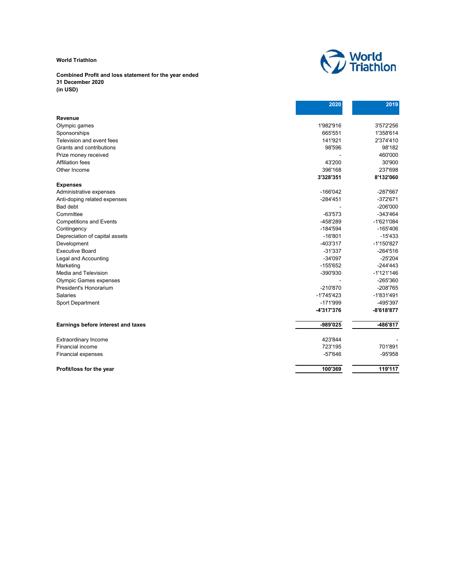#### **Combined Profit and loss statement for the year ended 31 December 2020 (in USD)**



|                                    | 2020         | 2019         |
|------------------------------------|--------------|--------------|
| Revenue                            |              |              |
| Olympic games                      | 1'982'916    | 3'572'256    |
| Sponsorships                       | 665'551      | 1'358'614    |
| Television and event fees          | 141'921      | 2'374'410    |
| Grants and contributions           | 98'596       | 98'182       |
| Prize money received               |              | 460'000      |
| <b>Affiliation fees</b>            | 43'200       | 30'900       |
| Other Income                       | 396'168      | 237'698      |
|                                    | 3'328'351    | 8'132'060    |
| <b>Expenses</b>                    |              |              |
| Administrative expenses            | $-166'042$   | -287'667     |
| Anti-doping related expenses       | $-284'451$   | $-372'671$   |
| Bad debt                           |              | $-206'000$   |
| Committee                          | $-63'573$    | -343'464     |
| <b>Competitions and Events</b>     | -458'289     | $-1'621'084$ |
| Contingency                        | $-184'594$   | $-165'406$   |
| Depreciation of capital assets     | $-16'801$    | $-15'433$    |
| Development                        | -403'317     | -1'150'827   |
| <b>Executive Board</b>             | $-31'337$    | $-264'516$   |
| Legal and Accounting               | $-34'097$    | $-25'204$    |
| Marketing                          | $-155'652$   | $-244'443$   |
| Media and Television               | -390'930     | $-1'121'146$ |
| <b>Olympic Games expenses</b>      |              | -265'360     |
| President's Honorarium             | -210'870     | -208'765     |
| <b>Salaries</b>                    | $-1'745'423$ | $-1'831'491$ |
| Sport Department                   | $-171'999$   | -495'397     |
|                                    | -4'317'376   | $-8'618'877$ |
| Earnings before interest and taxes | -989'025     | -486'817     |
| <b>Extraordinary Income</b>        | 423'844      |              |
| <b>Financial income</b>            | 723'195      | 701'891      |
| <b>Financial expenses</b>          | $-57'646$    | -95'958      |
| Profit/loss for the year           | 100'369      | 119'117      |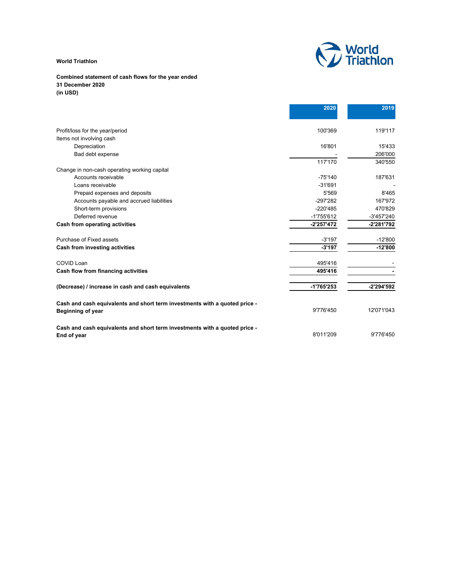

#### **Combined statement of cash flows for the year ended 31 December 2020 (in USD)**

|                                                                            | 2020         | 2019       |
|----------------------------------------------------------------------------|--------------|------------|
| Profit/loss for the year/period                                            | 100'369      | 119'117    |
| Items not involving cash                                                   |              |            |
| Depreciation                                                               | 16'801       | 15'433     |
| Bad debt expense                                                           |              | 206'000    |
|                                                                            | 117'170      | 340'550    |
| Change in non-cash operating working capital                               |              |            |
| Accounts receivable                                                        | $-75'140$    | 187'631    |
| Loans receivable                                                           | $-31'691$    |            |
| Prepaid expenses and deposits                                              | 5'569        | 8'465      |
| Accounts payable and accrued liabilities                                   | $-297'282$   | 167'972    |
| Short-term provisions                                                      | $-220'485$   | 470'829    |
| Deferred revenue                                                           | $-1'755'612$ | -3'457'240 |
| Cash from operating activities                                             | $-2'257'472$ | -2'281'792 |
| Purchase of Fixed assets                                                   | $-3'197$     | $-12'800$  |
| Cash from investing activities                                             | $-3'197$     | $-12'800$  |
| COVID Loan                                                                 | 495'416      |            |
| Cash flow from financing activities                                        | 495'416      |            |
| (Decrease) / increase in cash and cash equivalents                         | -1'765'253   | -2'294'592 |
| Cash and cash equivalents and short term investments with a quoted price - | 9'776'450    | 12'071'043 |
| Beginning of year                                                          |              |            |
| Cash and cash equivalents and short term investments with a quoted price - | 8'011'209    | 9'776'450  |
| End of year                                                                |              |            |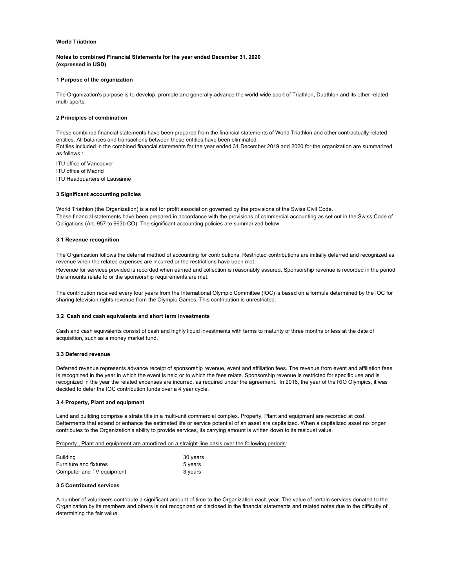#### **Notes to combined Financial Statements for the year ended December 31, 2020 (expressed in USD)**

#### **1 Purpose of the organization**

The Organization's purpose is to develop, promote and generally advance the world-wide sport of Triathlon, Duathlon and its other related multi-sports.

#### **2 Principles of combination**

These combined financial statements have been prepared from the financial statements of World Triathlon and other contractually related entities. All balances and transactions between these entities have been eliminated.

Entities included in the combined financial statements for the year ended 31 December 2019 and 2020 for the organization are summarized as follows :

ITU office of Vancouver

ITU office of Madrid

ITU Headquarters of Lausanne

#### **3 Significant accounting policies**

World Triathlon (the Organization) is a not for profit association governed by the provisions of the Swiss Civil Code. These financial statements have been prepared in accordance with the provisions of commercial accounting as set out in the Swiss Code of Obligations (Art. 957 to 963b CO). The significant accounting policies are summarized below:

#### **3.1 Revenue recognition**

The Organization follows the deferral method of accounting for contributions. Restricted contributions are initially deferred and recognized as revenue when the related expenses are incurred or the restrictions have been met.

Revenue for services provided is recorded when earned and collection is reasonably assured. Sponsorship revenue is recorded in the period the amounts relate to or the sponsorship requirements are met.

The contribution received every four years from the International Olympic Committee (IOC) is based on a formula determined by the IOC for sharing television rights revenue from the Olympic Games. This contribution is unrestricted.

#### **3.2 Cash and cash equivalents and short term investments**

Cash and cash equivalents consist of cash and highly liquid investments with terms to maturity of three months or less at the date of acquisition, such as a money market fund.

#### **3.3 Deferred revenue**

Deferred revenue represents advance receipt of sponsorship revenue, event and affiliation fees. The revenue from event and affiliation fees is recognized in the year in which the event is held or to which the fees relate. Sponsorship revenue is restricted for specific use and is recognized in the year the related expenses are incurred, as required under the agreement. In 2016, the year of the RIO Olympics, it was decided to defer the IOC contribution funds over a 4 year cycle.

#### **3.4 Property, Plant and equipment**

Land and building comprise a strata title in a multi-unit commercial complex. Property, Plant and equipment are recorded at cost. Betterments that extend or enhance the estimated life or service potential of an asset are capitalized. When a capitalized asset no longer contributes to the Organization's ability to provide services, its carrying amount is written down to its residual value.

#### Property , Plant and equipment are amortized on a straight-line basis over the following periods:

| <b>Building</b>               | 30 years |
|-------------------------------|----------|
| <b>Furniture and fixtures</b> | 5 years  |
| Computer and TV equipment     | 3 years  |

#### **3.5 Contributed services**

A number of volunteers contribute a significant amount of time to the Organization each year. The value of certain services donated to the Organization by its members and others is not recognized or disclosed in the financial statements and related notes due to the difficulty of determining the fair value.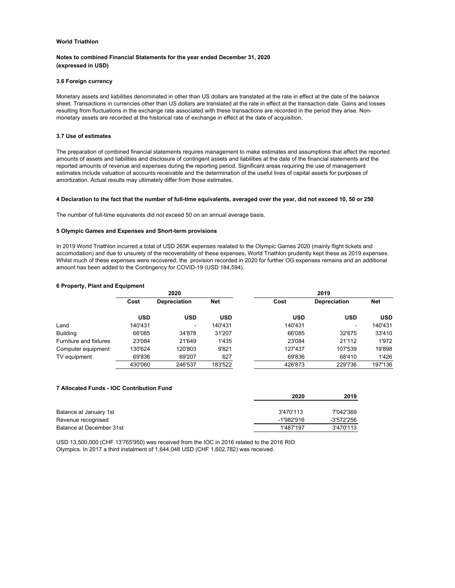#### **Notes to combined Financial Statements for the year ended December 31, 2020 (expressed in USD)**

#### **3.6 Foreign currency**

Monetary assets and liabilities denominated in other than US dollars are translated at the rate in effect at the date of the balance sheet. Transactions in currencies other than US dollars are translated at the rate in effect at the transaction date. Gains and losses resulting from fluctuations in the exchange rate associated with these transactions are recorded in the period they arise. Nonmonetary assets are recorded at the historical rate of exchange in effect at the date of acquisition.

#### **3.7 Use of estimates**

The preparation of combined financial statements requires management to make estimates and assumptions that affect the reported amounts of assets and liabilities and disclosure of contingent assets and liabilities at the date of the financial statements and the reported amounts of revenue and expenses during the reporting period. Significant areas requiring the use of management estimates include valuation of accounts receivable and the determination of the useful lives of capital assets for purposes of amortization. Actual results may ultimately differ from those estimates.

#### **4 Declaration to the fact that the number of full-time equivalents, averaged over the year, did not exceed 10, 50 or 250**

The number of full-time equivalents did not exceed 50 on an annual average basis.

#### **5 Olympic Games and Expenses and Short-term provisions**

In 2019 World Triathlon incurred a total of USD 265K expenses realated to the Olympic Games 2020 (mainly flight tickets and accomodation) and due to unsurety of the recoverability of these expenses, World Triathlon prudently kept these as 2019 expenses. Whilst much of these expenses were recovered, the provision recorded in 2020 for further OG expenses remains and an additional amount has been added to the Contingency for COVID-19 (USD 184,594).

#### **6 Property, Plant and Equipment**

|                        | 2020    |                     |         |            | 2019                |            |
|------------------------|---------|---------------------|---------|------------|---------------------|------------|
|                        | Cost    | <b>Depreciation</b> | Net     | Cost       | <b>Depreciation</b> | <b>Net</b> |
|                        | USD     | USD                 | USD     | <b>USD</b> | <b>USD</b>          | <b>USD</b> |
| Land                   | 140'431 | ۰.                  | 140'431 | 140'431    | -                   | 140'431    |
| <b>Building</b>        | 66'085  | 34'878              | 31'207  | 66'085     | 32'675              | 33'410     |
| Furniture and fixtures | 23'084  | 21'649              | 1'435   | 23'084     | 21'112              | 1'972      |
| Computer equipment     | 130'624 | 120'803             | 9'821   | 127'437    | 107'539             | 19'898     |
| TV equipment           | 69'836  | 69'207              | 627     | 69'836     | 68'410              | 1'426      |
|                        | 430'060 | 246'537             | 183'522 | 426'873    | 229'736             | 197'136    |

#### **7 Allocated Funds - IOC Contribution Fund**

|                          | 2020       | 2019       |  |
|--------------------------|------------|------------|--|
|                          |            |            |  |
| Balance at January 1st   | 3'470'113  | 7'042'369  |  |
| Revenue recognised       | -1'982'916 | -3'572'256 |  |
| Balance at December 31st | 1'487'197  | 3'470'113  |  |

USD 13,500,000 (CHF 13'765'950) was received from the IOC in 2016 related to the 2016 RIO Olympics. In 2017 a third instalment of 1,644,048 USD (CHF 1,602,782) was received.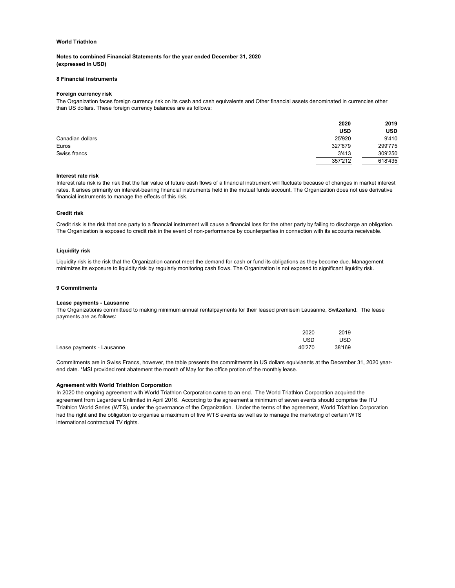#### **Notes to combined Financial Statements for the year ended December 31, 2020 (expressed in USD)**

#### **8 Financial instruments**

#### **Foreign currency risk**

The Organization faces foreign currency risk on its cash and cash equivalents and Other financial assets denominated in currencies other than US dollars. These foreign currency balances are as follows:

|                  | 2020       | 2019       |
|------------------|------------|------------|
|                  | <b>USD</b> | <b>USD</b> |
| Canadian dollars | 25'920     | 9'410      |
| Euros            | 327'879    | 299'775    |
| Swiss francs     | 3'413      | 309'250    |
|                  | 357'212    | 618'435    |

#### **Interest rate risk**

Interest rate risk is the risk that the fair value of future cash flows of a financial instrument will fluctuate because of changes in market interest rates. It arises primarily on interest-bearing financial instruments held in the mutual funds account. The Organization does not use derivative financial instruments to manage the effects of this risk.

#### **Credit risk**

Credit risk is the risk that one party to a financial instrument will cause a financial loss for the other party by failing to discharge an obligation. The Organization is exposed to credit risk in the event of non-performance by counterparties in connection with its accounts receivable.

#### **Liquidity risk**

Liquidity risk is the risk that the Organization cannot meet the demand for cash or fund its obligations as they become due. Management minimizes its exposure to liquidity risk by regularly monitoring cash flows. The Organization is not exposed to significant liquidity risk.

#### **9 Commitments**

#### **Lease payments - Lausanne**

The Organizationis committeed to making minimum annual rentalpayments for their leased premisein Lausanne, Switzerland. The lease payments are as follows:

|                           | 2020   | 2019       |
|---------------------------|--------|------------|
|                           | USD    | <b>USD</b> |
| Lease payments - Lausanne | 40'270 | 38'169     |

Commitments are in Swiss Francs, however, the table presents the commitments in US dollars equivlaents at the December 31, 2020 yearend date. \*MSI provided rent abatement the month of May for the office protion of the monthly lease.

#### **Agreement with World Triathlon Corporation**

In 2020 the ongoing agreement with World Triathlon Corporation came to an end. The World Triathlon Corporation acquired the agreement from Lagardere Unlimited in April 2016. According to the agreement a minimum of seven events should comprise the ITU Triathlon World Series (WTS), under the governance of the Organization. Under the terms of the agreement, World Triathlon Corporation had the right and the obligation to organise a maximum of five WTS events as well as to manage the marketing of certain WTS international contractual TV rights.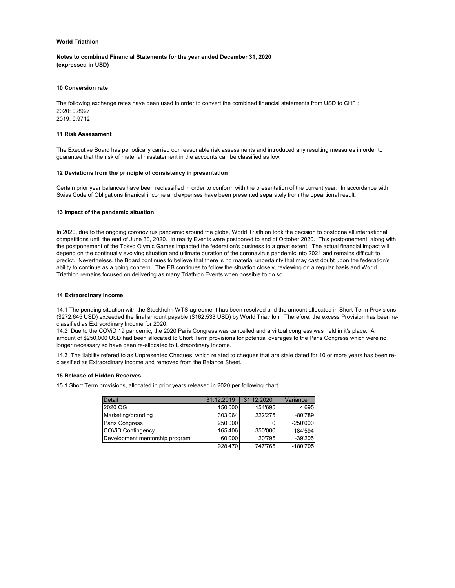**Notes to combined Financial Statements for the year ended December 31, 2020 (expressed in USD)**

#### **10 Conversion rate**

The following exchange rates have been used in order to convert the combined financial statements from USD to CHF : 2020: 0.8927 2019: 0.9712

#### **11 Risk Assessment**

The Executive Board has periodically carried our reasonable risk assessments and introduced any resulting measures in order to guarantee that the risk of material misstatement in the accounts can be classified as low.

#### **12 Deviations from the principle of consistency in presentation**

Certain prior year balances have been reclassified in order to conform with the presentation of the current year. In accordance with Swiss Code of Obligations finanical income and expenses have been presented separately from the opeartional result.

#### **13 Impact of the pandemic situation**

In 2020, due to the ongoing coronovirus pandemic around the globe, World Triathlon took the decision to postpone all international competitions until the end of June 30, 2020. In reality Events were postponed to end of October 2020. This postponement, along with the postponement of the Tokyo Olymic Games impacted the federation's business to a great extent. The actual financial impact will depend on the continually evolving situation and ultimate duration of the coronavirus pandemic into 2021 and remains difficult to predict. Nevertheless, the Board continues to believe that there is no material uncertainty that may cast doubt upon the federation's ability to continue as a going concern. The EB continues to follow the situation closely, reviewing on a regular basis and World Triathlon remains focused on delivering as many Triathlon Events when possible to do so.

#### **14 Extraordinary Income**

14.1 The pending situation with the Stockholm WTS agreement has been resolved and the amount allocated in Short Term Provisions (\$272,645 USD) exceeded the final amount payable (\$162,533 USD) by World Triathlon. Therefore, the excess Provision has been reclassified as Extraordinary Income for 2020.

14.2 Due to the COViD 19 pandemic, the 2020 Paris Congress was cancelled and a virtual congress was held in it's place. An amount of \$250,000 USD had been allocated to Short Term provisions for potential overages to the Paris Congress which were no longer necessary so have been re-allocated to Extraordinary Income.

14.3 The liability refered to as Unpresented Cheques, which related to cheques that are stale dated for 10 or more years has been reclassified as Extraordinary Income and removed from the Balance Sheet.

#### **15 Release of Hidden Reserves**

15.1 Short Term provisions, allocated in prior years released in 2020 per following chart.

| <b>Detail</b>                  | 31.12.2019 | 31.12.2020 | Variance   |
|--------------------------------|------------|------------|------------|
| 2020 OG                        | 150'000    | 154'695    | 4'695      |
| Marketing/branding             | 303'064    | 222'275    | $-80'789$  |
| Paris Congress                 | 250'000    |            | $-250'000$ |
| <b>COVID Contingency</b>       | 165'406    | 350'000    | 184'594    |
| Development mentorship program | 60'000     | 20'795     | $-39'205$  |
|                                | 928'470    | 747'765    | $-180'705$ |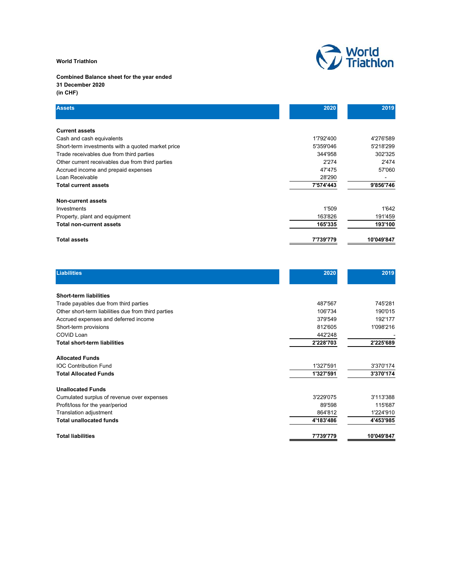

#### **Combined Balance sheet for the year ended 31 December 2020 (in CHF)**

| <b>Assets</b>                                     | 2020      | 2019       |
|---------------------------------------------------|-----------|------------|
|                                                   |           |            |
| <b>Current assets</b>                             |           |            |
| Cash and cash equivalents                         | 1'792'400 | 4'276'589  |
| Short-term investments with a quoted market price | 5'359'046 | 5'218'299  |
| Trade receivables due from third parties          | 344'958   | 302'325    |
| Other current receivables due from third parties  | 2'274     | 2'474      |
| Accrued income and prepaid expenses               | 47'475    | 57'060     |
| Loan Receivable                                   | 28'290    |            |
| <b>Total current assets</b>                       | 7'574'443 | 9'856'746  |
| Non-current assets                                |           |            |
| Investments                                       | 1'509     | 1'642      |
| Property, plant and equipment                     | 163'826   | 191'459    |
| <b>Total non-current assets</b>                   | 165'335   | 193'100    |
| <b>Total assets</b>                               | 7'739'779 | 10'049'847 |

| <b>Liabilities</b>                                  | 2020      | 2019       |
|-----------------------------------------------------|-----------|------------|
| <b>Short-term liabilities</b>                       |           |            |
| Trade payables due from third parties               | 487'567   | 745'281    |
| Other short-term liabilities due from third parties | 106'734   | 190'015    |
| Accrued expenses and deferred income                | 379'549   | 192'177    |
| Short-term provisions                               | 812'605   | 1'098'216  |
| COVID Loan                                          | 442'248   |            |
| <b>Total short-term liabilities</b>                 | 2'228'703 | 2'225'689  |
| <b>Allocated Funds</b>                              |           |            |
| <b>IOC Contribution Fund</b>                        | 1'327'591 | 3'370'174  |
| <b>Total Allocated Funds</b>                        | 1'327'591 | 3'370'174  |
| <b>Unallocated Funds</b>                            |           |            |
| Cumulated surplus of revenue over expenses          | 3'229'075 | 3'113'388  |
| Profit/loss for the year/period                     | 89'598    | 115'687    |
| Translation adjustment                              | 864'812   | 1'224'910  |
| <b>Total unallocated funds</b>                      | 4'183'486 | 4'453'985  |
| <b>Total liabilities</b>                            | 7'739'779 | 10'049'847 |